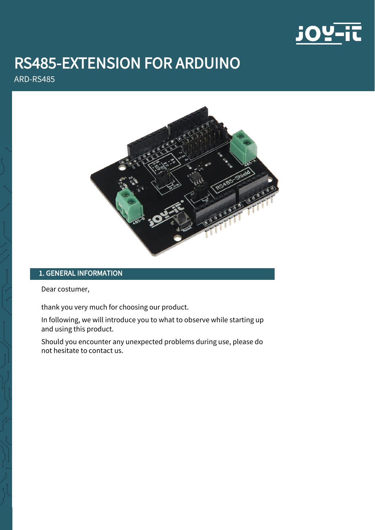

# RS485-EXTENSION FOR ARDUINO

ARD-RS485



# 1. GENERAL INFORMATION

Dear costumer,

thank you very much for choosing our product.

In following, we will introduce you to what to observe while starting up and using this product.

Should you encounter any unexpected problems during use, please do not hesitate to contact us.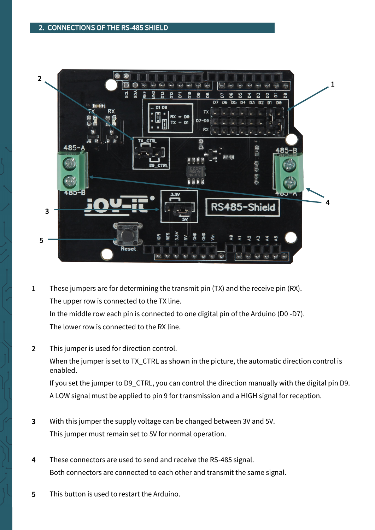

- 1 These jumpers are for determining the transmit pin (TX) and the receive pin (RX). The upper row is connected to the TX line. In the middle row each pin is connected to one digital pin of the Arduino (D0 -D7). The lower row is connected to the RX line.
- 2 This jumper is used for direction control. When the jumper is set to TX\_CTRL as shown in the picture, the automatic direction control is enabled.

If you set the jumper to D9\_CTRL, you can control the direction manually with the digital pin D9. A LOW signal must be applied to pin 9 for transmission and a HIGH signal for reception.

- 3 With this jumper the supply voltage can be changed between 3V and 5V. This jumper must remain set to 5V for normal operation.
- 4 These connectors are used to send and receive the RS-485 signal. Both connectors are connected to each other and transmit the same signal.
- 5 This button is used to restart the Arduino.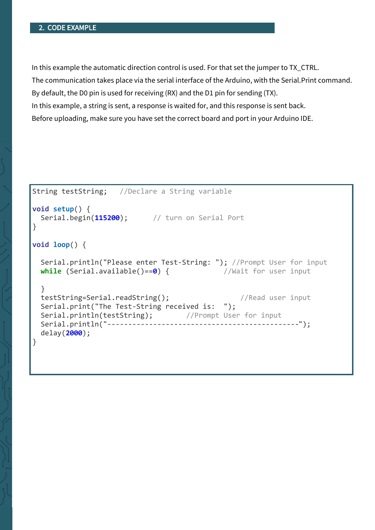## 2. CODE EXAMPLE

In this example the automatic direction control is used. For that set the jumper to TX\_CTRL.

The communication takes place via the serial interface of the Arduino, with the Serial.Print command.

By default, the D0 pin is used for receiving (RX) and the D1 pin for sending (TX).

In this example, a string is sent, a response is waited for, and this response is sent back.

Before uploading, make sure you have set the correct board and port in your Arduino IDE.

```
String testString; //Declare a String variable 
void setup() {
  Serial.begin(115200); // turn on Serial Port
}
void loop() {
  Serial.println("Please enter Test-String: "); //Prompt User for input
 while (Serial.available()==0) { //Wait for user input
  }
  testString=Serial.readString(); //Read user input 
  Serial.print("The Test-String received is: ");
 Serial.println(testString); //Prompt User for input
  Serial.println("----------------------------------------------"); 
  delay(2000);
}
```